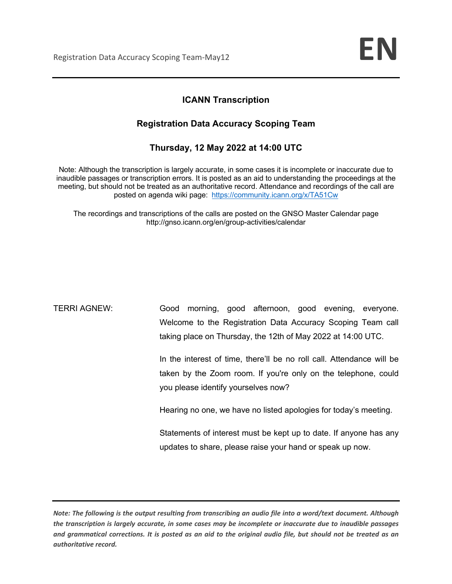## **ICANN Transcription**

## **Registration Data Accuracy Scoping Team**

## **Thursday, 12 May 2022 at 14:00 UTC**

Note: Although the transcription is largely accurate, in some cases it is incomplete or inaccurate due to inaudible passages or transcription errors. It is posted as an aid to understanding the proceedings at the meeting, but should not be treated as an authoritative record. Attendance and recordings of the call are posted on agenda wiki page: https://community.icann.org/x/TA51Cw

The recordings and transcriptions of the calls are posted on the GNSO Master Calendar page http://gnso.icann.org/en/group-activities/calendar

TERRI AGNEW: Good morning, good afternoon, good evening, everyone. Welcome to the Registration Data Accuracy Scoping Team call taking place on Thursday, the 12th of May 2022 at 14:00 UTC.

> In the interest of time, there'll be no roll call. Attendance will be taken by the Zoom room. If you're only on the telephone, could you please identify yourselves now?

Hearing no one, we have no listed apologies for today's meeting.

Statements of interest must be kept up to date. If anyone has any updates to share, please raise your hand or speak up now.

*Note: The following is the output resulting from transcribing an audio file into a word/text document. Although the transcription is largely accurate, in some cases may be incomplete or inaccurate due to inaudible passages and grammatical corrections. It is posted as an aid to the original audio file, but should not be treated as an authoritative record.*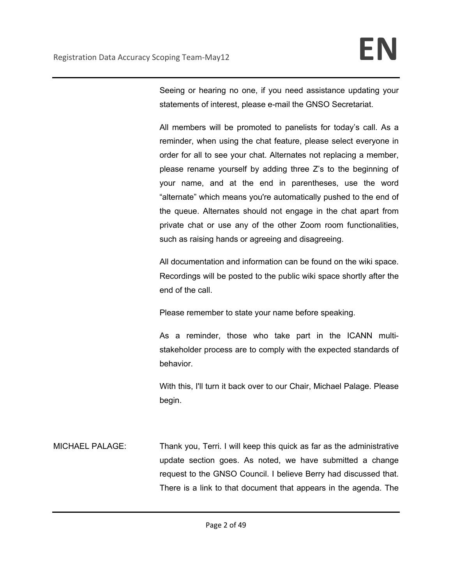Seeing or hearing no one, if you need assistance updating your statements of interest, please e-mail the GNSO Secretariat.

All members will be promoted to panelists for today's call. As a reminder, when using the chat feature, please select everyone in order for all to see your chat. Alternates not replacing a member, please rename yourself by adding three Z's to the beginning of your name, and at the end in parentheses, use the word "alternate" which means you're automatically pushed to the end of the queue. Alternates should not engage in the chat apart from private chat or use any of the other Zoom room functionalities, such as raising hands or agreeing and disagreeing.

All documentation and information can be found on the wiki space. Recordings will be posted to the public wiki space shortly after the end of the call.

Please remember to state your name before speaking.

As a reminder, those who take part in the ICANN multistakeholder process are to comply with the expected standards of behavior.

With this, I'll turn it back over to our Chair, Michael Palage. Please begin.

MICHAEL PALAGE: Thank you, Terri. I will keep this quick as far as the administrative update section goes. As noted, we have submitted a change request to the GNSO Council. I believe Berry had discussed that. There is a link to that document that appears in the agenda. The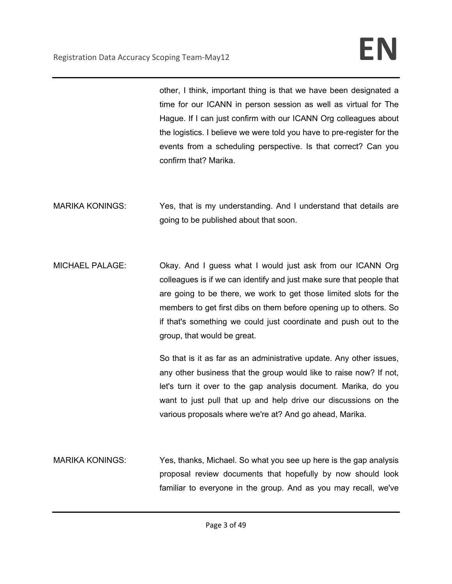other, I think, important thing is that we have been designated a time for our ICANN in person session as well as virtual for The Hague. If I can just confirm with our ICANN Org colleagues about the logistics. I believe we were told you have to pre-register for the events from a scheduling perspective. Is that correct? Can you confirm that? Marika.

- MARIKA KONINGS: Yes, that is my understanding. And I understand that details are going to be published about that soon.
- MICHAEL PALAGE: Okay. And I guess what I would just ask from our ICANN Org colleagues is if we can identify and just make sure that people that are going to be there, we work to get those limited slots for the members to get first dibs on them before opening up to others. So if that's something we could just coordinate and push out to the group, that would be great.

So that is it as far as an administrative update. Any other issues, any other business that the group would like to raise now? If not, let's turn it over to the gap analysis document. Marika, do you want to just pull that up and help drive our discussions on the various proposals where we're at? And go ahead, Marika.

MARIKA KONINGS: Yes, thanks, Michael. So what you see up here is the gap analysis proposal review documents that hopefully by now should look familiar to everyone in the group. And as you may recall, we've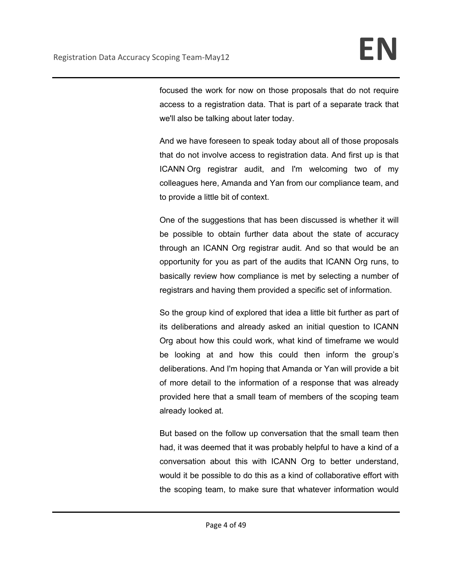focused the work for now on those proposals that do not require access to a registration data. That is part of a separate track that we'll also be talking about later today.

And we have foreseen to speak today about all of those proposals that do not involve access to registration data. And first up is that ICANN Org registrar audit, and I'm welcoming two of my colleagues here, Amanda and Yan from our compliance team, and to provide a little bit of context.

One of the suggestions that has been discussed is whether it will be possible to obtain further data about the state of accuracy through an ICANN Org registrar audit. And so that would be an opportunity for you as part of the audits that ICANN Org runs, to basically review how compliance is met by selecting a number of registrars and having them provided a specific set of information.

So the group kind of explored that idea a little bit further as part of its deliberations and already asked an initial question to ICANN Org about how this could work, what kind of timeframe we would be looking at and how this could then inform the group's deliberations. And I'm hoping that Amanda or Yan will provide a bit of more detail to the information of a response that was already provided here that a small team of members of the scoping team already looked at.

But based on the follow up conversation that the small team then had, it was deemed that it was probably helpful to have a kind of a conversation about this with ICANN Org to better understand, would it be possible to do this as a kind of collaborative effort with the scoping team, to make sure that whatever information would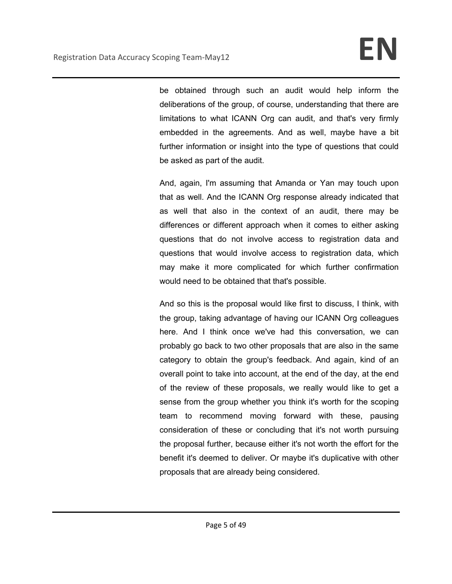be obtained through such an audit would help inform the deliberations of the group, of course, understanding that there are limitations to what ICANN Org can audit, and that's very firmly embedded in the agreements. And as well, maybe have a bit further information or insight into the type of questions that could be asked as part of the audit.

And, again, I'm assuming that Amanda or Yan may touch upon that as well. And the ICANN Org response already indicated that as well that also in the context of an audit, there may be differences or different approach when it comes to either asking questions that do not involve access to registration data and questions that would involve access to registration data, which may make it more complicated for which further confirmation would need to be obtained that that's possible.

And so this is the proposal would like first to discuss, I think, with the group, taking advantage of having our ICANN Org colleagues here. And I think once we've had this conversation, we can probably go back to two other proposals that are also in the same category to obtain the group's feedback. And again, kind of an overall point to take into account, at the end of the day, at the end of the review of these proposals, we really would like to get a sense from the group whether you think it's worth for the scoping team to recommend moving forward with these, pausing consideration of these or concluding that it's not worth pursuing the proposal further, because either it's not worth the effort for the benefit it's deemed to deliver. Or maybe it's duplicative with other proposals that are already being considered.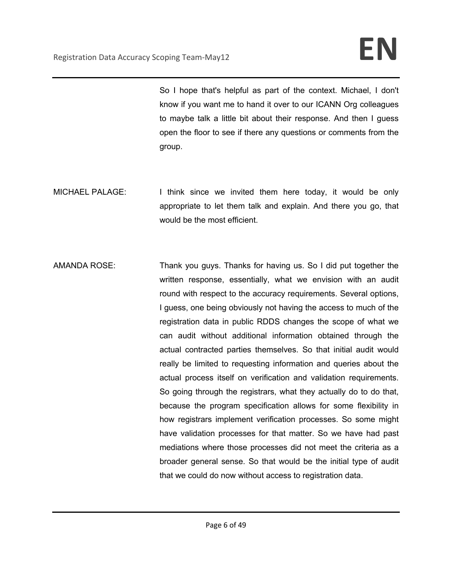So I hope that's helpful as part of the context. Michael, I don't know if you want me to hand it over to our ICANN Org colleagues to maybe talk a little bit about their response. And then I guess open the floor to see if there any questions or comments from the group.

- MICHAEL PALAGE: I think since we invited them here today, it would be only appropriate to let them talk and explain. And there you go, that would be the most efficient.
- AMANDA ROSE: Thank you guys. Thanks for having us. So I did put together the written response, essentially, what we envision with an audit round with respect to the accuracy requirements. Several options, I guess, one being obviously not having the access to much of the registration data in public RDDS changes the scope of what we can audit without additional information obtained through the actual contracted parties themselves. So that initial audit would really be limited to requesting information and queries about the actual process itself on verification and validation requirements. So going through the registrars, what they actually do to do that, because the program specification allows for some flexibility in how registrars implement verification processes. So some might have validation processes for that matter. So we have had past mediations where those processes did not meet the criteria as a broader general sense. So that would be the initial type of audit that we could do now without access to registration data.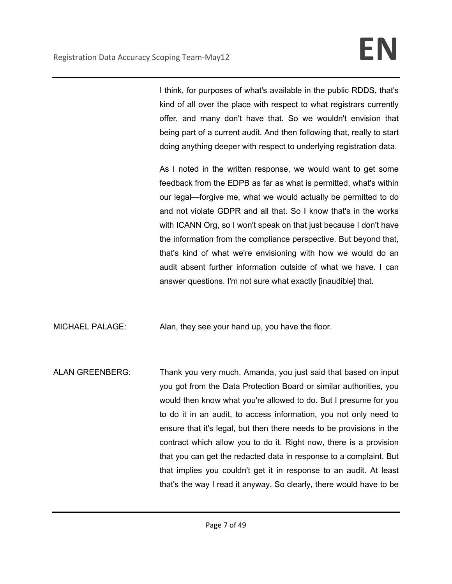I think, for purposes of what's available in the public RDDS, that's kind of all over the place with respect to what registrars currently offer, and many don't have that. So we wouldn't envision that being part of a current audit. And then following that, really to start doing anything deeper with respect to underlying registration data.

As I noted in the written response, we would want to get some feedback from the EDPB as far as what is permitted, what's within our legal—forgive me, what we would actually be permitted to do and not violate GDPR and all that. So I know that's in the works with ICANN Org, so I won't speak on that just because I don't have the information from the compliance perspective. But beyond that, that's kind of what we're envisioning with how we would do an audit absent further information outside of what we have. I can answer questions. I'm not sure what exactly [inaudible] that.

MICHAEL PALAGE: Alan, they see your hand up, you have the floor.

ALAN GREENBERG: Thank you very much. Amanda, you just said that based on input you got from the Data Protection Board or similar authorities, you would then know what you're allowed to do. But I presume for you to do it in an audit, to access information, you not only need to ensure that it's legal, but then there needs to be provisions in the contract which allow you to do it. Right now, there is a provision that you can get the redacted data in response to a complaint. But that implies you couldn't get it in response to an audit. At least that's the way I read it anyway. So clearly, there would have to be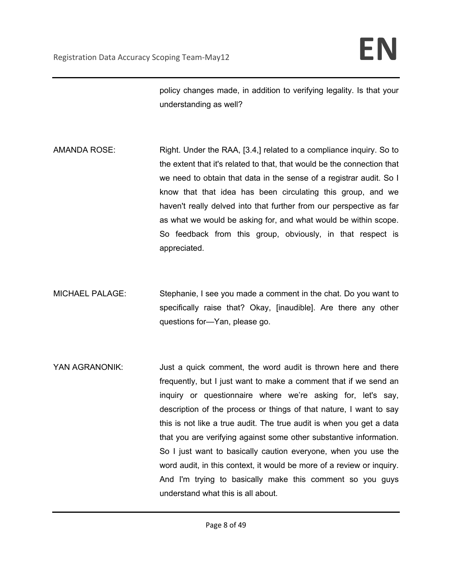policy changes made, in addition to verifying legality. Is that your understanding as well?

- AMANDA ROSE: Right. Under the RAA, [3.4,] related to a compliance inquiry. So to the extent that it's related to that, that would be the connection that we need to obtain that data in the sense of a registrar audit. So I know that that idea has been circulating this group, and we haven't really delved into that further from our perspective as far as what we would be asking for, and what would be within scope. So feedback from this group, obviously, in that respect is appreciated.
- MICHAEL PALAGE: Stephanie, I see you made a comment in the chat. Do you want to specifically raise that? Okay, [inaudible]. Are there any other questions for—Yan, please go.
- YAN AGRANONIK: Just a quick comment, the word audit is thrown here and there frequently, but I just want to make a comment that if we send an inquiry or questionnaire where we're asking for, let's say, description of the process or things of that nature, I want to say this is not like a true audit. The true audit is when you get a data that you are verifying against some other substantive information. So I just want to basically caution everyone, when you use the word audit, in this context, it would be more of a review or inquiry. And I'm trying to basically make this comment so you guys understand what this is all about.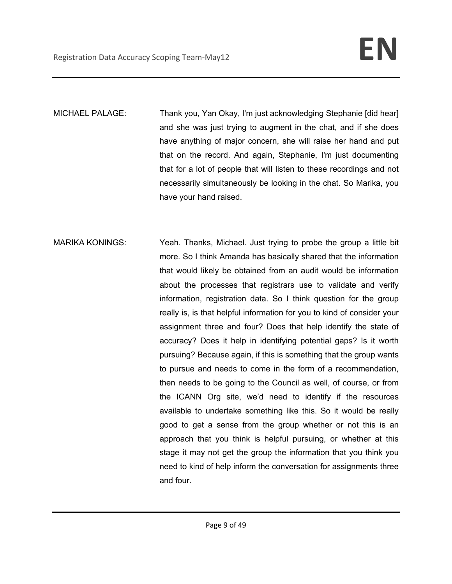MICHAEL PALAGE: Thank you, Yan Okay, I'm just acknowledging Stephanie [did hear] and she was just trying to augment in the chat, and if she does have anything of major concern, she will raise her hand and put that on the record. And again, Stephanie, I'm just documenting that for a lot of people that will listen to these recordings and not necessarily simultaneously be looking in the chat. So Marika, you have your hand raised.

MARIKA KONINGS: Yeah. Thanks, Michael. Just trying to probe the group a little bit more. So I think Amanda has basically shared that the information that would likely be obtained from an audit would be information about the processes that registrars use to validate and verify information, registration data. So I think question for the group really is, is that helpful information for you to kind of consider your assignment three and four? Does that help identify the state of accuracy? Does it help in identifying potential gaps? Is it worth pursuing? Because again, if this is something that the group wants to pursue and needs to come in the form of a recommendation, then needs to be going to the Council as well, of course, or from the ICANN Org site, we'd need to identify if the resources available to undertake something like this. So it would be really good to get a sense from the group whether or not this is an approach that you think is helpful pursuing, or whether at this stage it may not get the group the information that you think you need to kind of help inform the conversation for assignments three and four.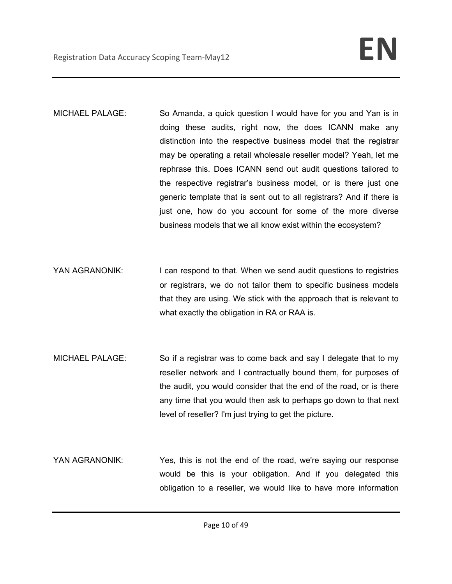- MICHAEL PALAGE: So Amanda, a quick question I would have for you and Yan is in doing these audits, right now, the does ICANN make any distinction into the respective business model that the registrar may be operating a retail wholesale reseller model? Yeah, let me rephrase this. Does ICANN send out audit questions tailored to the respective registrar's business model, or is there just one generic template that is sent out to all registrars? And if there is just one, how do you account for some of the more diverse business models that we all know exist within the ecosystem?
- YAN AGRANONIK: I can respond to that. When we send audit questions to registries or registrars, we do not tailor them to specific business models that they are using. We stick with the approach that is relevant to what exactly the obligation in RA or RAA is.
- MICHAEL PALAGE: So if a registrar was to come back and say I delegate that to my reseller network and I contractually bound them, for purposes of the audit, you would consider that the end of the road, or is there any time that you would then ask to perhaps go down to that next level of reseller? I'm just trying to get the picture.
- YAN AGRANONIK: Yes, this is not the end of the road, we're saying our response would be this is your obligation. And if you delegated this obligation to a reseller, we would like to have more information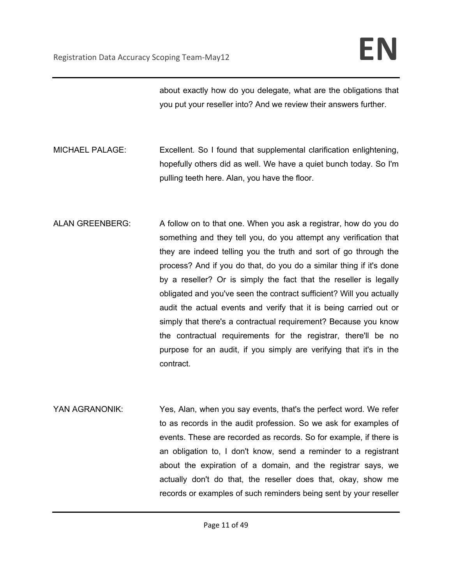about exactly how do you delegate, what are the obligations that you put your reseller into? And we review their answers further.

- MICHAEL PALAGE: Excellent. So I found that supplemental clarification enlightening, hopefully others did as well. We have a quiet bunch today. So I'm pulling teeth here. Alan, you have the floor.
- ALAN GREENBERG: A follow on to that one. When you ask a registrar, how do you do something and they tell you, do you attempt any verification that they are indeed telling you the truth and sort of go through the process? And if you do that, do you do a similar thing if it's done by a reseller? Or is simply the fact that the reseller is legally obligated and you've seen the contract sufficient? Will you actually audit the actual events and verify that it is being carried out or simply that there's a contractual requirement? Because you know the contractual requirements for the registrar, there'll be no purpose for an audit, if you simply are verifying that it's in the contract.
- YAN AGRANONIK: Yes, Alan, when you say events, that's the perfect word. We refer to as records in the audit profession. So we ask for examples of events. These are recorded as records. So for example, if there is an obligation to, I don't know, send a reminder to a registrant about the expiration of a domain, and the registrar says, we actually don't do that, the reseller does that, okay, show me records or examples of such reminders being sent by your reseller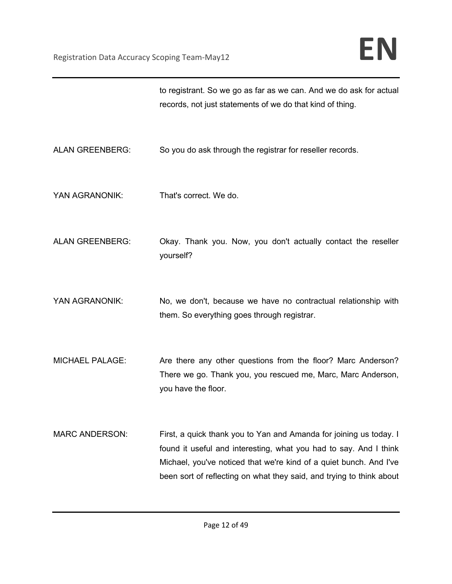|                        | to registrant. So we go as far as we can. And we do ask for actual<br>records, not just statements of we do that kind of thing.                                                                                                                                                       |
|------------------------|---------------------------------------------------------------------------------------------------------------------------------------------------------------------------------------------------------------------------------------------------------------------------------------|
| <b>ALAN GREENBERG:</b> | So you do ask through the registrar for reseller records.                                                                                                                                                                                                                             |
| YAN AGRANONIK:         | That's correct. We do.                                                                                                                                                                                                                                                                |
| <b>ALAN GREENBERG:</b> | Okay. Thank you. Now, you don't actually contact the reseller<br>yourself?                                                                                                                                                                                                            |
| YAN AGRANONIK:         | No, we don't, because we have no contractual relationship with<br>them. So everything goes through registrar.                                                                                                                                                                         |
| <b>MICHAEL PALAGE:</b> | Are there any other questions from the floor? Marc Anderson?<br>There we go. Thank you, you rescued me, Marc, Marc Anderson,<br>you have the floor.                                                                                                                                   |
| <b>MARC ANDERSON:</b>  | First, a quick thank you to Yan and Amanda for joining us today. I<br>found it useful and interesting, what you had to say. And I think<br>Michael, you've noticed that we're kind of a quiet bunch. And I've<br>been sort of reflecting on what they said, and trying to think about |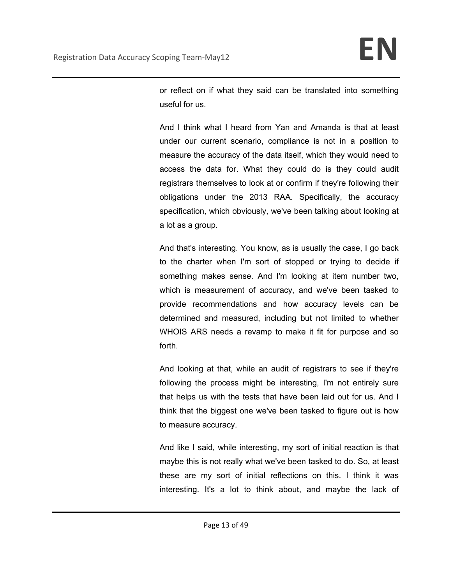or reflect on if what they said can be translated into something useful for us.

And I think what I heard from Yan and Amanda is that at least under our current scenario, compliance is not in a position to measure the accuracy of the data itself, which they would need to access the data for. What they could do is they could audit registrars themselves to look at or confirm if they're following their obligations under the 2013 RAA. Specifically, the accuracy specification, which obviously, we've been talking about looking at a lot as a group.

And that's interesting. You know, as is usually the case, I go back to the charter when I'm sort of stopped or trying to decide if something makes sense. And I'm looking at item number two, which is measurement of accuracy, and we've been tasked to provide recommendations and how accuracy levels can be determined and measured, including but not limited to whether WHOIS ARS needs a revamp to make it fit for purpose and so forth.

And looking at that, while an audit of registrars to see if they're following the process might be interesting, I'm not entirely sure that helps us with the tests that have been laid out for us. And I think that the biggest one we've been tasked to figure out is how to measure accuracy.

And like I said, while interesting, my sort of initial reaction is that maybe this is not really what we've been tasked to do. So, at least these are my sort of initial reflections on this. I think it was interesting. It's a lot to think about, and maybe the lack of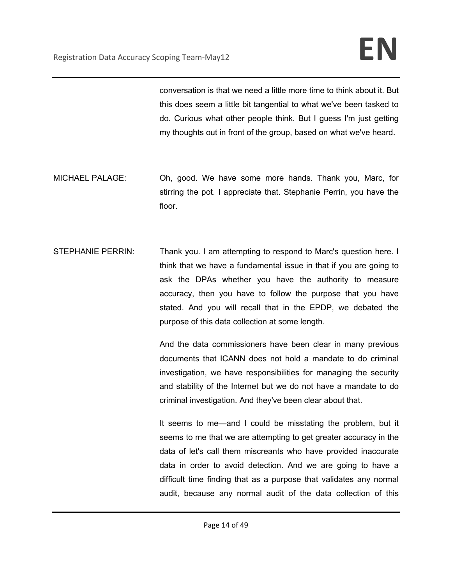conversation is that we need a little more time to think about it. But this does seem a little bit tangential to what we've been tasked to do. Curious what other people think. But I guess I'm just getting my thoughts out in front of the group, based on what we've heard.

- MICHAEL PALAGE: Oh, good. We have some more hands. Thank you, Marc, for stirring the pot. I appreciate that. Stephanie Perrin, you have the floor.
- STEPHANIE PERRIN: Thank you. I am attempting to respond to Marc's question here. I think that we have a fundamental issue in that if you are going to ask the DPAs whether you have the authority to measure accuracy, then you have to follow the purpose that you have stated. And you will recall that in the EPDP, we debated the purpose of this data collection at some length.

And the data commissioners have been clear in many previous documents that ICANN does not hold a mandate to do criminal investigation, we have responsibilities for managing the security and stability of the Internet but we do not have a mandate to do criminal investigation. And they've been clear about that.

It seems to me—and I could be misstating the problem, but it seems to me that we are attempting to get greater accuracy in the data of let's call them miscreants who have provided inaccurate data in order to avoid detection. And we are going to have a difficult time finding that as a purpose that validates any normal audit, because any normal audit of the data collection of this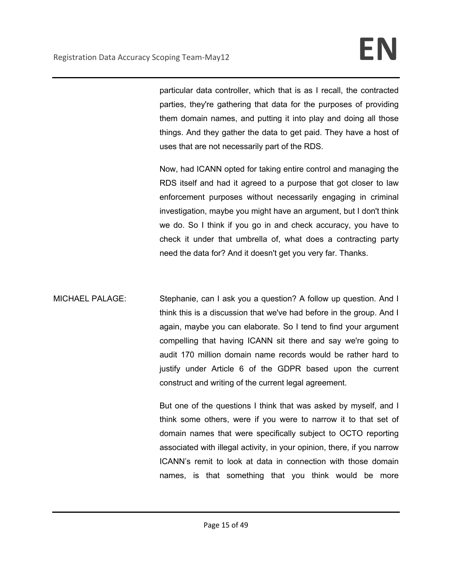particular data controller, which that is as I recall, the contracted parties, they're gathering that data for the purposes of providing them domain names, and putting it into play and doing all those things. And they gather the data to get paid. They have a host of uses that are not necessarily part of the RDS.

Now, had ICANN opted for taking entire control and managing the RDS itself and had it agreed to a purpose that got closer to law enforcement purposes without necessarily engaging in criminal investigation, maybe you might have an argument, but I don't think we do. So I think if you go in and check accuracy, you have to check it under that umbrella of, what does a contracting party need the data for? And it doesn't get you very far. Thanks.

MICHAEL PALAGE: Stephanie, can I ask you a question? A follow up question. And I think this is a discussion that we've had before in the group. And I again, maybe you can elaborate. So I tend to find your argument compelling that having ICANN sit there and say we're going to audit 170 million domain name records would be rather hard to justify under Article 6 of the GDPR based upon the current construct and writing of the current legal agreement.

> But one of the questions I think that was asked by myself, and I think some others, were if you were to narrow it to that set of domain names that were specifically subject to OCTO reporting associated with illegal activity, in your opinion, there, if you narrow ICANN's remit to look at data in connection with those domain names, is that something that you think would be more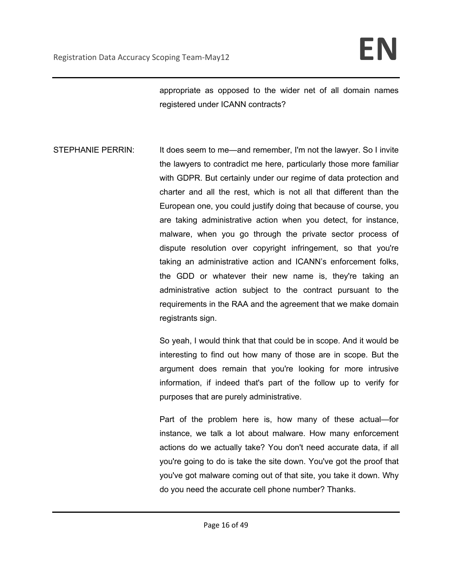appropriate as opposed to the wider net of all domain names registered under ICANN contracts?

STEPHANIE PERRIN: It does seem to me—and remember, I'm not the lawyer. So I invite the lawyers to contradict me here, particularly those more familiar with GDPR. But certainly under our regime of data protection and charter and all the rest, which is not all that different than the European one, you could justify doing that because of course, you are taking administrative action when you detect, for instance, malware, when you go through the private sector process of dispute resolution over copyright infringement, so that you're taking an administrative action and ICANN's enforcement folks, the GDD or whatever their new name is, they're taking an administrative action subject to the contract pursuant to the requirements in the RAA and the agreement that we make domain registrants sign.

> So yeah, I would think that that could be in scope. And it would be interesting to find out how many of those are in scope. But the argument does remain that you're looking for more intrusive information, if indeed that's part of the follow up to verify for purposes that are purely administrative.

> Part of the problem here is, how many of these actual—for instance, we talk a lot about malware. How many enforcement actions do we actually take? You don't need accurate data, if all you're going to do is take the site down. You've got the proof that you've got malware coming out of that site, you take it down. Why do you need the accurate cell phone number? Thanks.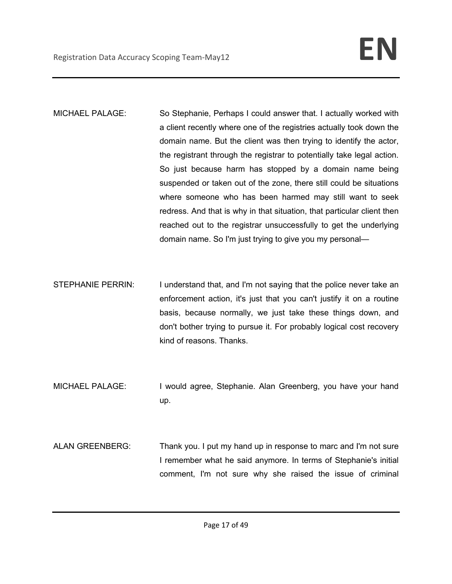- MICHAEL PALAGE: So Stephanie, Perhaps I could answer that. I actually worked with a client recently where one of the registries actually took down the domain name. But the client was then trying to identify the actor, the registrant through the registrar to potentially take legal action. So just because harm has stopped by a domain name being suspended or taken out of the zone, there still could be situations where someone who has been harmed may still want to seek redress. And that is why in that situation, that particular client then reached out to the registrar unsuccessfully to get the underlying domain name. So I'm just trying to give you my personal—
- STEPHANIE PERRIN: I understand that, and I'm not saying that the police never take an enforcement action, it's just that you can't justify it on a routine basis, because normally, we just take these things down, and don't bother trying to pursue it. For probably logical cost recovery kind of reasons. Thanks.
- MICHAEL PALAGE: I would agree, Stephanie. Alan Greenberg, you have your hand up.
- ALAN GREENBERG: Thank you. I put my hand up in response to marc and I'm not sure I remember what he said anymore. In terms of Stephanie's initial comment, I'm not sure why she raised the issue of criminal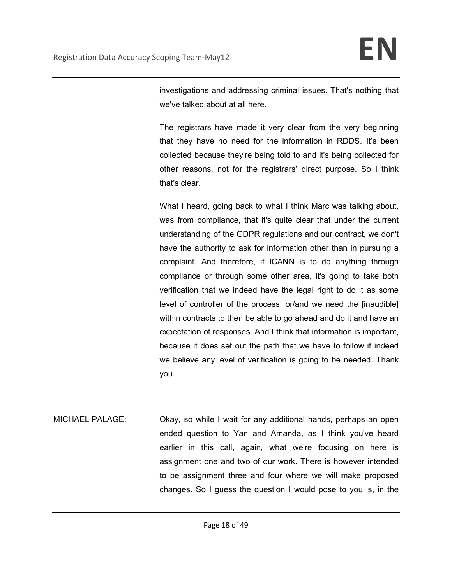investigations and addressing criminal issues. That's nothing that we've talked about at all here.

The registrars have made it very clear from the very beginning that they have no need for the information in RDDS. It's been collected because they're being told to and it's being collected for other reasons, not for the registrars' direct purpose. So I think that's clear.

What I heard, going back to what I think Marc was talking about, was from compliance, that it's quite clear that under the current understanding of the GDPR regulations and our contract, we don't have the authority to ask for information other than in pursuing a complaint. And therefore, if ICANN is to do anything through compliance or through some other area, it's going to take both verification that we indeed have the legal right to do it as some level of controller of the process, or/and we need the [inaudible] within contracts to then be able to go ahead and do it and have an expectation of responses. And I think that information is important, because it does set out the path that we have to follow if indeed we believe any level of verification is going to be needed. Thank you.

MICHAEL PALAGE: Okay, so while I wait for any additional hands, perhaps an open ended question to Yan and Amanda, as I think you've heard earlier in this call, again, what we're focusing on here is assignment one and two of our work. There is however intended to be assignment three and four where we will make proposed changes. So I guess the question I would pose to you is, in the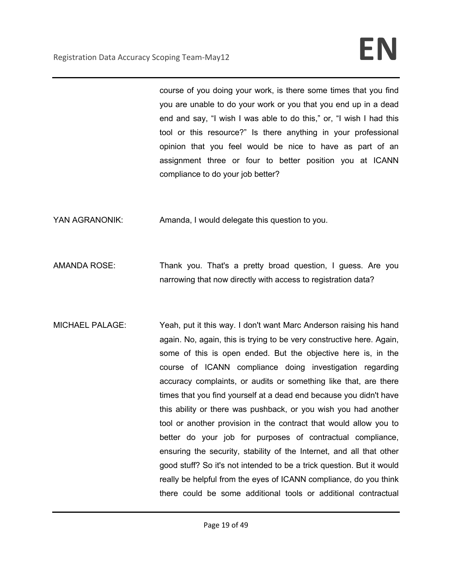course of you doing your work, is there some times that you find you are unable to do your work or you that you end up in a dead end and say, "I wish I was able to do this," or, "I wish I had this tool or this resource?" Is there anything in your professional opinion that you feel would be nice to have as part of an assignment three or four to better position you at ICANN compliance to do your job better?

YAN AGRANONIK: Amanda, I would delegate this question to you.

- AMANDA ROSE: Thank you. That's a pretty broad question, I guess. Are you narrowing that now directly with access to registration data?
- MICHAEL PALAGE: Yeah, put it this way. I don't want Marc Anderson raising his hand again. No, again, this is trying to be very constructive here. Again, some of this is open ended. But the objective here is, in the course of ICANN compliance doing investigation regarding accuracy complaints, or audits or something like that, are there times that you find yourself at a dead end because you didn't have this ability or there was pushback, or you wish you had another tool or another provision in the contract that would allow you to better do your job for purposes of contractual compliance, ensuring the security, stability of the Internet, and all that other good stuff? So it's not intended to be a trick question. But it would really be helpful from the eyes of ICANN compliance, do you think there could be some additional tools or additional contractual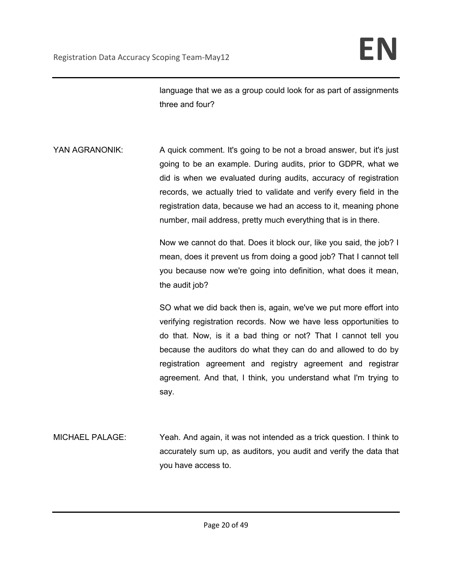language that we as a group could look for as part of assignments three and four?

YAN AGRANONIK: A quick comment. It's going to be not a broad answer, but it's just going to be an example. During audits, prior to GDPR, what we did is when we evaluated during audits, accuracy of registration records, we actually tried to validate and verify every field in the registration data, because we had an access to it, meaning phone number, mail address, pretty much everything that is in there.

> Now we cannot do that. Does it block our, like you said, the job? I mean, does it prevent us from doing a good job? That I cannot tell you because now we're going into definition, what does it mean, the audit job?

> SO what we did back then is, again, we've we put more effort into verifying registration records. Now we have less opportunities to do that. Now, is it a bad thing or not? That I cannot tell you because the auditors do what they can do and allowed to do by registration agreement and registry agreement and registrar agreement. And that, I think, you understand what I'm trying to say.

MICHAEL PALAGE: Yeah. And again, it was not intended as a trick question. I think to accurately sum up, as auditors, you audit and verify the data that you have access to.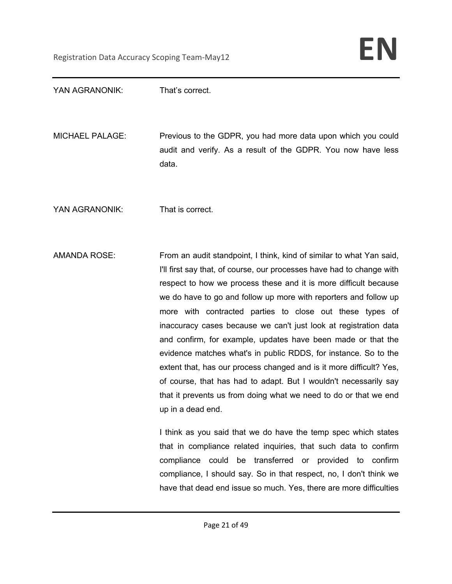| YAN AGRANONIK:         | That's correct.                                                                                                                                                                                                                                                                                                                                                                                                                                                                                                                                                                                                                                                                                                                                                                              |
|------------------------|----------------------------------------------------------------------------------------------------------------------------------------------------------------------------------------------------------------------------------------------------------------------------------------------------------------------------------------------------------------------------------------------------------------------------------------------------------------------------------------------------------------------------------------------------------------------------------------------------------------------------------------------------------------------------------------------------------------------------------------------------------------------------------------------|
| <b>MICHAEL PALAGE:</b> | Previous to the GDPR, you had more data upon which you could<br>audit and verify. As a result of the GDPR. You now have less<br>data.                                                                                                                                                                                                                                                                                                                                                                                                                                                                                                                                                                                                                                                        |
| YAN AGRANONIK:         | That is correct.                                                                                                                                                                                                                                                                                                                                                                                                                                                                                                                                                                                                                                                                                                                                                                             |
| <b>AMANDA ROSE:</b>    | From an audit standpoint, I think, kind of similar to what Yan said,<br>I'll first say that, of course, our processes have had to change with<br>respect to how we process these and it is more difficult because<br>we do have to go and follow up more with reporters and follow up<br>more with contracted parties to close out these types of<br>inaccuracy cases because we can't just look at registration data<br>and confirm, for example, updates have been made or that the<br>evidence matches what's in public RDDS, for instance. So to the<br>extent that, has our process changed and is it more difficult? Yes,<br>of course, that has had to adapt. But I wouldn't necessarily say<br>that it prevents us from doing what we need to do or that we end<br>up in a dead end. |
|                        | I think as you said that we do have the temp spec which states<br>that in compliance related inquiries, that such data to confirm<br>be transferred or provided to<br>compliance could<br>confirm<br>compliance, I should say. So in that respect, no, I don't think we<br>have that dead end issue so much. Yes, there are more difficulties                                                                                                                                                                                                                                                                                                                                                                                                                                                |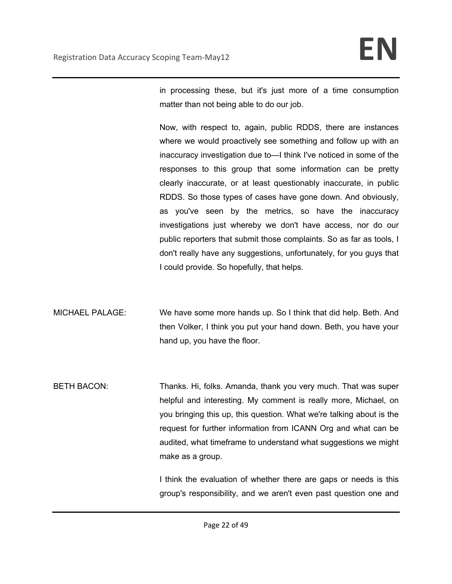in processing these, but it's just more of a time consumption matter than not being able to do our job.

Now, with respect to, again, public RDDS, there are instances where we would proactively see something and follow up with an inaccuracy investigation due to—I think I've noticed in some of the responses to this group that some information can be pretty clearly inaccurate, or at least questionably inaccurate, in public RDDS. So those types of cases have gone down. And obviously, as you've seen by the metrics, so have the inaccuracy investigations just whereby we don't have access, nor do our public reporters that submit those complaints. So as far as tools, I don't really have any suggestions, unfortunately, for you guys that I could provide. So hopefully, that helps.

MICHAEL PALAGE: We have some more hands up. So I think that did help. Beth. And then Volker, I think you put your hand down. Beth, you have your hand up, you have the floor.

BETH BACON: Thanks. Hi, folks. Amanda, thank you very much. That was super helpful and interesting. My comment is really more, Michael, on you bringing this up, this question. What we're talking about is the request for further information from ICANN Org and what can be audited, what timeframe to understand what suggestions we might make as a group.

> I think the evaluation of whether there are gaps or needs is this group's responsibility, and we aren't even past question one and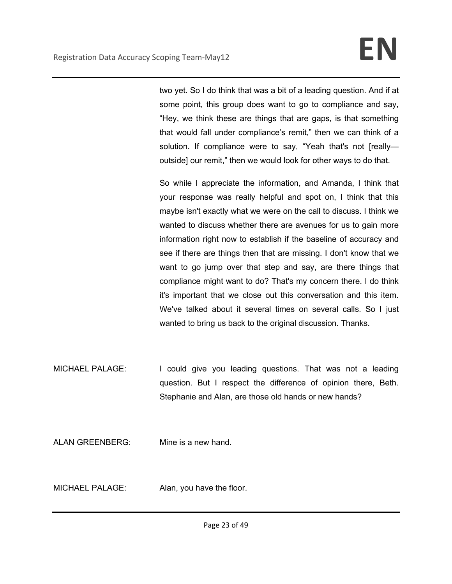two yet. So I do think that was a bit of a leading question. And if at some point, this group does want to go to compliance and say, "Hey, we think these are things that are gaps, is that something that would fall under compliance's remit," then we can think of a solution. If compliance were to say, "Yeah that's not [reallyoutside] our remit," then we would look for other ways to do that.

So while I appreciate the information, and Amanda, I think that your response was really helpful and spot on, I think that this maybe isn't exactly what we were on the call to discuss. I think we wanted to discuss whether there are avenues for us to gain more information right now to establish if the baseline of accuracy and see if there are things then that are missing. I don't know that we want to go jump over that step and say, are there things that compliance might want to do? That's my concern there. I do think it's important that we close out this conversation and this item. We've talked about it several times on several calls. So I just wanted to bring us back to the original discussion. Thanks.

MICHAEL PALAGE: I could give you leading questions. That was not a leading question. But I respect the difference of opinion there, Beth. Stephanie and Alan, are those old hands or new hands?

ALAN GREENBERG: Mine is a new hand.

MICHAEL PALAGE: Alan, you have the floor.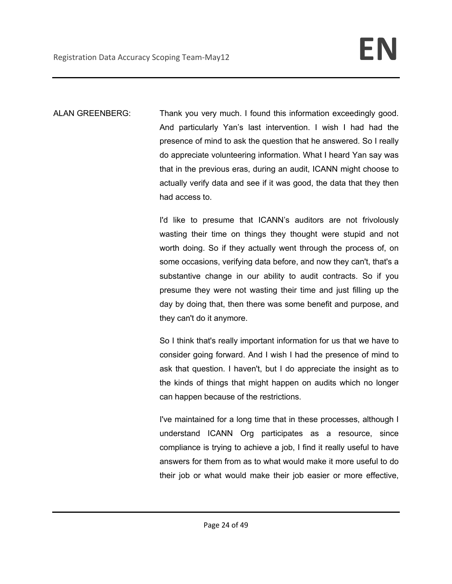ALAN GREENBERG: Thank you very much. I found this information exceedingly good. And particularly Yan's last intervention. I wish I had had the presence of mind to ask the question that he answered. So I really do appreciate volunteering information. What I heard Yan say was that in the previous eras, during an audit, ICANN might choose to actually verify data and see if it was good, the data that they then had access to.

> I'd like to presume that ICANN's auditors are not frivolously wasting their time on things they thought were stupid and not worth doing. So if they actually went through the process of, on some occasions, verifying data before, and now they can't, that's a substantive change in our ability to audit contracts. So if you presume they were not wasting their time and just filling up the day by doing that, then there was some benefit and purpose, and they can't do it anymore.

> So I think that's really important information for us that we have to consider going forward. And I wish I had the presence of mind to ask that question. I haven't, but I do appreciate the insight as to the kinds of things that might happen on audits which no longer can happen because of the restrictions.

> I've maintained for a long time that in these processes, although I understand ICANN Org participates as a resource, since compliance is trying to achieve a job, I find it really useful to have answers for them from as to what would make it more useful to do their job or what would make their job easier or more effective,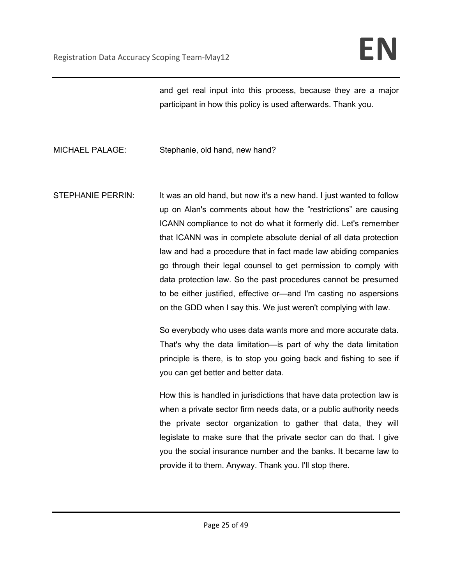and get real input into this process, because they are a major participant in how this policy is used afterwards. Thank you.

MICHAEL PALAGE: Stephanie, old hand, new hand?

STEPHANIE PERRIN: It was an old hand, but now it's a new hand. I just wanted to follow up on Alan's comments about how the "restrictions" are causing ICANN compliance to not do what it formerly did. Let's remember that ICANN was in complete absolute denial of all data protection law and had a procedure that in fact made law abiding companies go through their legal counsel to get permission to comply with data protection law. So the past procedures cannot be presumed to be either justified, effective or—and I'm casting no aspersions on the GDD when I say this. We just weren't complying with law.

> So everybody who uses data wants more and more accurate data. That's why the data limitation—is part of why the data limitation principle is there, is to stop you going back and fishing to see if you can get better and better data.

> How this is handled in jurisdictions that have data protection law is when a private sector firm needs data, or a public authority needs the private sector organization to gather that data, they will legislate to make sure that the private sector can do that. I give you the social insurance number and the banks. It became law to provide it to them. Anyway. Thank you. I'll stop there.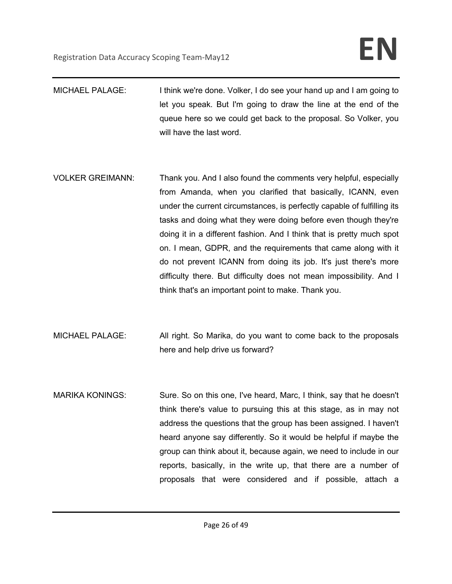- MICHAEL PALAGE: I think we're done. Volker, I do see your hand up and I am going to let you speak. But I'm going to draw the line at the end of the queue here so we could get back to the proposal. So Volker, you will have the last word.
- VOLKER GREIMANN: Thank you. And I also found the comments very helpful, especially from Amanda, when you clarified that basically, ICANN, even under the current circumstances, is perfectly capable of fulfilling its tasks and doing what they were doing before even though they're doing it in a different fashion. And I think that is pretty much spot on. I mean, GDPR, and the requirements that came along with it do not prevent ICANN from doing its job. It's just there's more difficulty there. But difficulty does not mean impossibility. And I think that's an important point to make. Thank you.
- MICHAEL PALAGE: All right. So Marika, do you want to come back to the proposals here and help drive us forward?
- MARIKA KONINGS: Sure. So on this one, I've heard, Marc, I think, say that he doesn't think there's value to pursuing this at this stage, as in may not address the questions that the group has been assigned. I haven't heard anyone say differently. So it would be helpful if maybe the group can think about it, because again, we need to include in our reports, basically, in the write up, that there are a number of proposals that were considered and if possible, attach a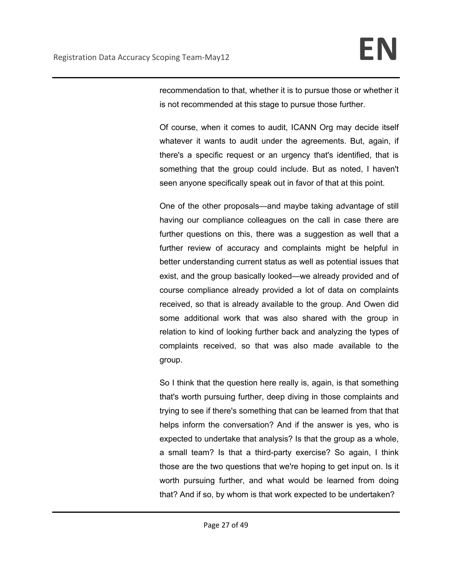recommendation to that, whether it is to pursue those or whether it is not recommended at this stage to pursue those further.

Of course, when it comes to audit, ICANN Org may decide itself whatever it wants to audit under the agreements. But, again, if there's a specific request or an urgency that's identified, that is something that the group could include. But as noted, I haven't seen anyone specifically speak out in favor of that at this point.

One of the other proposals—and maybe taking advantage of still having our compliance colleagues on the call in case there are further questions on this, there was a suggestion as well that a further review of accuracy and complaints might be helpful in better understanding current status as well as potential issues that exist, and the group basically looked—we already provided and of course compliance already provided a lot of data on complaints received, so that is already available to the group. And Owen did some additional work that was also shared with the group in relation to kind of looking further back and analyzing the types of complaints received, so that was also made available to the group.

So I think that the question here really is, again, is that something that's worth pursuing further, deep diving in those complaints and trying to see if there's something that can be learned from that that helps inform the conversation? And if the answer is yes, who is expected to undertake that analysis? Is that the group as a whole, a small team? Is that a third-party exercise? So again, I think those are the two questions that we're hoping to get input on. Is it worth pursuing further, and what would be learned from doing that? And if so, by whom is that work expected to be undertaken?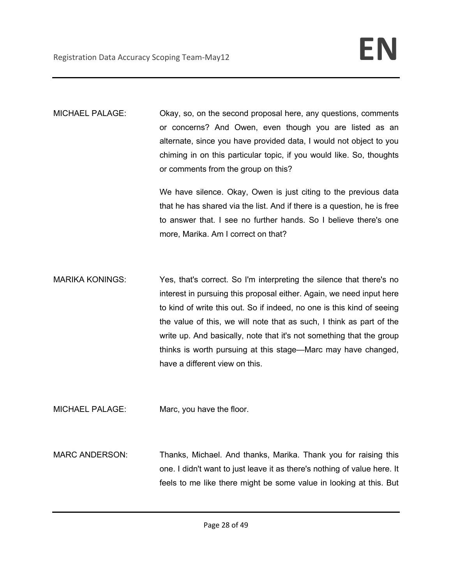MICHAEL PALAGE: Okay, so, on the second proposal here, any questions, comments or concerns? And Owen, even though you are listed as an alternate, since you have provided data, I would not object to you chiming in on this particular topic, if you would like. So, thoughts or comments from the group on this?

> We have silence. Okay, Owen is just citing to the previous data that he has shared via the list. And if there is a question, he is free to answer that. I see no further hands. So I believe there's one more, Marika. Am I correct on that?

MARIKA KONINGS: Yes, that's correct. So I'm interpreting the silence that there's no interest in pursuing this proposal either. Again, we need input here to kind of write this out. So if indeed, no one is this kind of seeing the value of this, we will note that as such, I think as part of the write up. And basically, note that it's not something that the group thinks is worth pursuing at this stage—Marc may have changed, have a different view on this.

MICHAEL PALAGE: Marc, you have the floor.

MARC ANDERSON: Thanks, Michael. And thanks, Marika. Thank you for raising this one. I didn't want to just leave it as there's nothing of value here. It feels to me like there might be some value in looking at this. But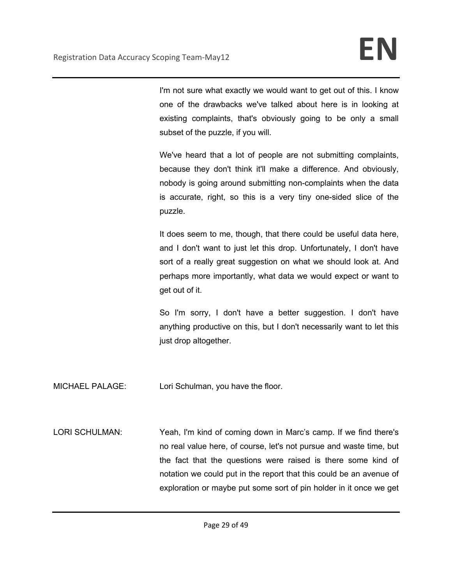I'm not sure what exactly we would want to get out of this. I know one of the drawbacks we've talked about here is in looking at existing complaints, that's obviously going to be only a small subset of the puzzle, if you will.

We've heard that a lot of people are not submitting complaints, because they don't think it'll make a difference. And obviously, nobody is going around submitting non-complaints when the data is accurate, right, so this is a very tiny one-sided slice of the puzzle.

It does seem to me, though, that there could be useful data here, and I don't want to just let this drop. Unfortunately, I don't have sort of a really great suggestion on what we should look at. And perhaps more importantly, what data we would expect or want to get out of it.

So I'm sorry, I don't have a better suggestion. I don't have anything productive on this, but I don't necessarily want to let this just drop altogether.

MICHAEL PALAGE: Lori Schulman, you have the floor.

LORI SCHULMAN: Yeah, I'm kind of coming down in Marc's camp. If we find there's no real value here, of course, let's not pursue and waste time, but the fact that the questions were raised is there some kind of notation we could put in the report that this could be an avenue of exploration or maybe put some sort of pin holder in it once we get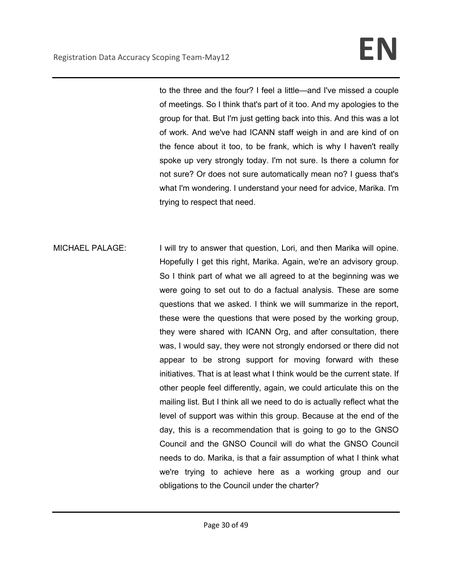to the three and the four? I feel a little—and I've missed a couple of meetings. So I think that's part of it too. And my apologies to the group for that. But I'm just getting back into this. And this was a lot of work. And we've had ICANN staff weigh in and are kind of on the fence about it too, to be frank, which is why I haven't really spoke up very strongly today. I'm not sure. Is there a column for not sure? Or does not sure automatically mean no? I guess that's what I'm wondering. I understand your need for advice, Marika. I'm trying to respect that need.

MICHAEL PALAGE: I will try to answer that question, Lori, and then Marika will opine. Hopefully I get this right, Marika. Again, we're an advisory group. So I think part of what we all agreed to at the beginning was we were going to set out to do a factual analysis. These are some questions that we asked. I think we will summarize in the report, these were the questions that were posed by the working group, they were shared with ICANN Org, and after consultation, there was, I would say, they were not strongly endorsed or there did not appear to be strong support for moving forward with these initiatives. That is at least what I think would be the current state. If other people feel differently, again, we could articulate this on the mailing list. But I think all we need to do is actually reflect what the level of support was within this group. Because at the end of the day, this is a recommendation that is going to go to the GNSO Council and the GNSO Council will do what the GNSO Council needs to do. Marika, is that a fair assumption of what I think what we're trying to achieve here as a working group and our obligations to the Council under the charter?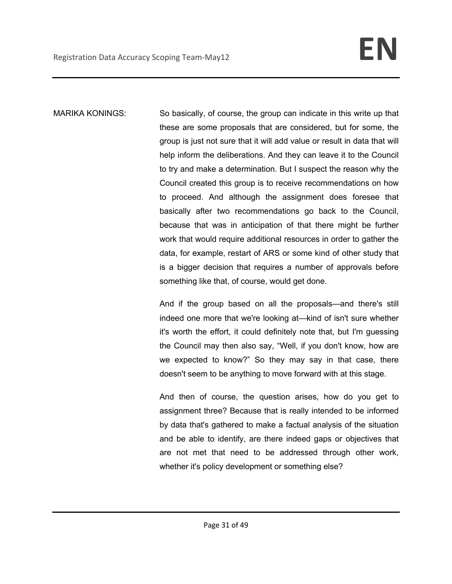MARIKA KONINGS: So basically, of course, the group can indicate in this write up that these are some proposals that are considered, but for some, the group is just not sure that it will add value or result in data that will help inform the deliberations. And they can leave it to the Council to try and make a determination. But I suspect the reason why the Council created this group is to receive recommendations on how to proceed. And although the assignment does foresee that basically after two recommendations go back to the Council, because that was in anticipation of that there might be further work that would require additional resources in order to gather the data, for example, restart of ARS or some kind of other study that is a bigger decision that requires a number of approvals before something like that, of course, would get done.

> And if the group based on all the proposals—and there's still indeed one more that we're looking at—kind of isn't sure whether it's worth the effort, it could definitely note that, but I'm guessing the Council may then also say, "Well, if you don't know, how are we expected to know?" So they may say in that case, there doesn't seem to be anything to move forward with at this stage.

> And then of course, the question arises, how do you get to assignment three? Because that is really intended to be informed by data that's gathered to make a factual analysis of the situation and be able to identify, are there indeed gaps or objectives that are not met that need to be addressed through other work, whether it's policy development or something else?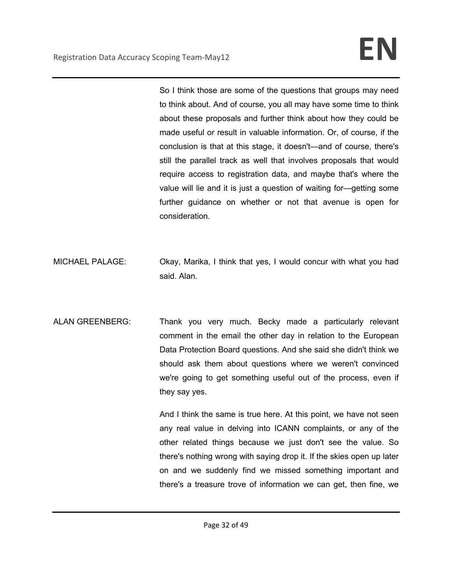So I think those are some of the questions that groups may need to think about. And of course, you all may have some time to think about these proposals and further think about how they could be made useful or result in valuable information. Or, of course, if the conclusion is that at this stage, it doesn't—and of course, there's still the parallel track as well that involves proposals that would require access to registration data, and maybe that's where the value will lie and it is just a question of waiting for—getting some further guidance on whether or not that avenue is open for consideration.

- MICHAEL PALAGE: Okay, Marika, I think that yes, I would concur with what you had said. Alan.
- ALAN GREENBERG: Thank you very much. Becky made a particularly relevant comment in the email the other day in relation to the European Data Protection Board questions. And she said she didn't think we should ask them about questions where we weren't convinced we're going to get something useful out of the process, even if they say yes.

And I think the same is true here. At this point, we have not seen any real value in delving into ICANN complaints, or any of the other related things because we just don't see the value. So there's nothing wrong with saying drop it. If the skies open up later on and we suddenly find we missed something important and there's a treasure trove of information we can get, then fine, we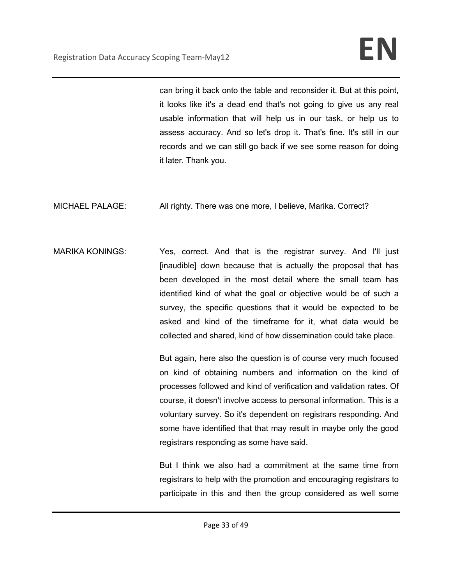can bring it back onto the table and reconsider it. But at this point, it looks like it's a dead end that's not going to give us any real usable information that will help us in our task, or help us to assess accuracy. And so let's drop it. That's fine. It's still in our records and we can still go back if we see some reason for doing it later. Thank you.

MICHAEL PALAGE: All righty. There was one more, I believe, Marika. Correct?

MARIKA KONINGS: Yes, correct. And that is the registrar survey. And I'll just [inaudible] down because that is actually the proposal that has been developed in the most detail where the small team has identified kind of what the goal or objective would be of such a survey, the specific questions that it would be expected to be asked and kind of the timeframe for it, what data would be collected and shared, kind of how dissemination could take place.

> But again, here also the question is of course very much focused on kind of obtaining numbers and information on the kind of processes followed and kind of verification and validation rates. Of course, it doesn't involve access to personal information. This is a voluntary survey. So it's dependent on registrars responding. And some have identified that that may result in maybe only the good registrars responding as some have said.

> But I think we also had a commitment at the same time from registrars to help with the promotion and encouraging registrars to participate in this and then the group considered as well some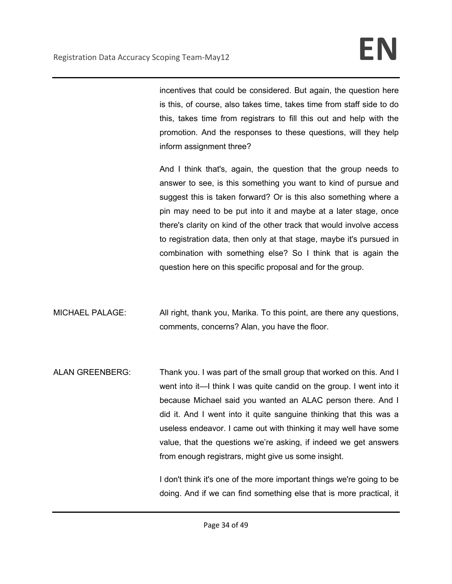incentives that could be considered. But again, the question here is this, of course, also takes time, takes time from staff side to do this, takes time from registrars to fill this out and help with the promotion. And the responses to these questions, will they help inform assignment three?

And I think that's, again, the question that the group needs to answer to see, is this something you want to kind of pursue and suggest this is taken forward? Or is this also something where a pin may need to be put into it and maybe at a later stage, once there's clarity on kind of the other track that would involve access to registration data, then only at that stage, maybe it's pursued in combination with something else? So I think that is again the question here on this specific proposal and for the group.

MICHAEL PALAGE: All right, thank you, Marika. To this point, are there any questions, comments, concerns? Alan, you have the floor.

ALAN GREENBERG: Thank you. I was part of the small group that worked on this. And I went into it—I think I was quite candid on the group. I went into it because Michael said you wanted an ALAC person there. And I did it. And I went into it quite sanguine thinking that this was a useless endeavor. I came out with thinking it may well have some value, that the questions we're asking, if indeed we get answers from enough registrars, might give us some insight.

> I don't think it's one of the more important things we're going to be doing. And if we can find something else that is more practical, it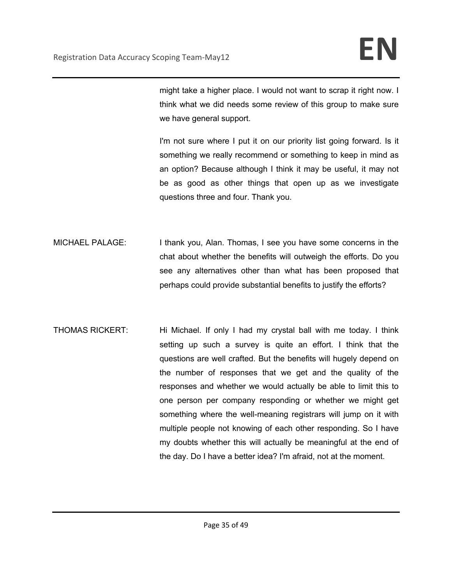might take a higher place. I would not want to scrap it right now. I think what we did needs some review of this group to make sure we have general support.

I'm not sure where I put it on our priority list going forward. Is it something we really recommend or something to keep in mind as an option? Because although I think it may be useful, it may not be as good as other things that open up as we investigate questions three and four. Thank you.

- MICHAEL PALAGE: I thank you, Alan. Thomas, I see you have some concerns in the chat about whether the benefits will outweigh the efforts. Do you see any alternatives other than what has been proposed that perhaps could provide substantial benefits to justify the efforts?
- THOMAS RICKERT: Hi Michael. If only I had my crystal ball with me today. I think setting up such a survey is quite an effort. I think that the questions are well crafted. But the benefits will hugely depend on the number of responses that we get and the quality of the responses and whether we would actually be able to limit this to one person per company responding or whether we might get something where the well-meaning registrars will jump on it with multiple people not knowing of each other responding. So I have my doubts whether this will actually be meaningful at the end of the day. Do I have a better idea? I'm afraid, not at the moment.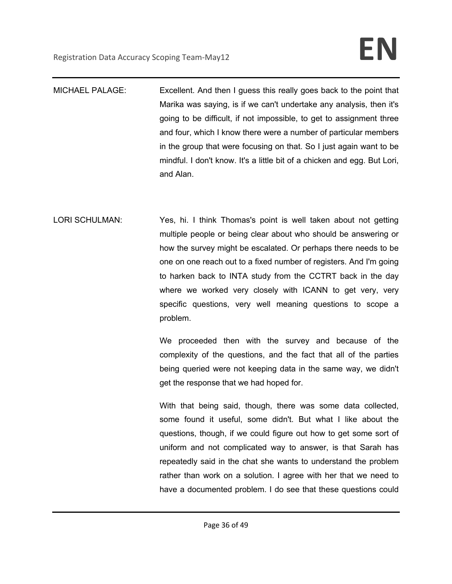- MICHAEL PALAGE: Excellent. And then I guess this really goes back to the point that Marika was saying, is if we can't undertake any analysis, then it's going to be difficult, if not impossible, to get to assignment three and four, which I know there were a number of particular members in the group that were focusing on that. So I just again want to be mindful. I don't know. It's a little bit of a chicken and egg. But Lori, and Alan.
- LORI SCHULMAN: Yes, hi. I think Thomas's point is well taken about not getting multiple people or being clear about who should be answering or how the survey might be escalated. Or perhaps there needs to be one on one reach out to a fixed number of registers. And I'm going to harken back to INTA study from the CCTRT back in the day where we worked very closely with ICANN to get very, very specific questions, very well meaning questions to scope a problem.

We proceeded then with the survey and because of the complexity of the questions, and the fact that all of the parties being queried were not keeping data in the same way, we didn't get the response that we had hoped for.

With that being said, though, there was some data collected, some found it useful, some didn't. But what I like about the questions, though, if we could figure out how to get some sort of uniform and not complicated way to answer, is that Sarah has repeatedly said in the chat she wants to understand the problem rather than work on a solution. I agree with her that we need to have a documented problem. I do see that these questions could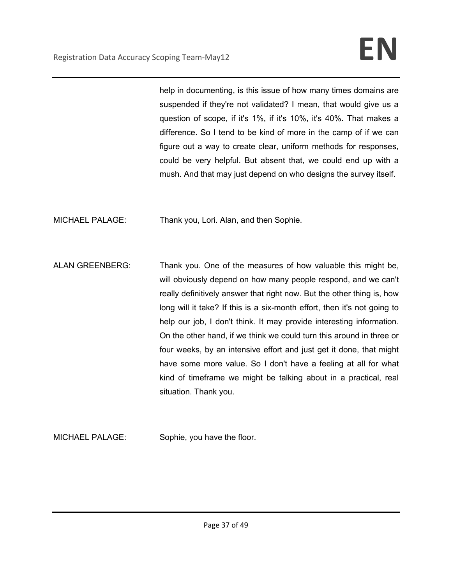help in documenting, is this issue of how many times domains are suspended if they're not validated? I mean, that would give us a question of scope, if it's 1%, if it's 10%, it's 40%. That makes a difference. So I tend to be kind of more in the camp of if we can figure out a way to create clear, uniform methods for responses, could be very helpful. But absent that, we could end up with a mush. And that may just depend on who designs the survey itself.

MICHAEL PALAGE: Thank you, Lori. Alan, and then Sophie.

ALAN GREENBERG: Thank you. One of the measures of how valuable this might be, will obviously depend on how many people respond, and we can't really definitively answer that right now. But the other thing is, how long will it take? If this is a six-month effort, then it's not going to help our job, I don't think. It may provide interesting information. On the other hand, if we think we could turn this around in three or four weeks, by an intensive effort and just get it done, that might have some more value. So I don't have a feeling at all for what kind of timeframe we might be talking about in a practical, real situation. Thank you.

MICHAEL PALAGE: Sophie, you have the floor.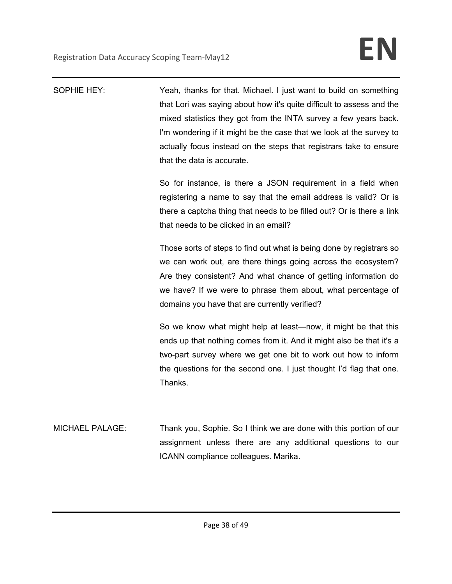| SOPHIE HEY:            | Yeah, thanks for that. Michael. I just want to build on something<br>that Lori was saying about how it's quite difficult to assess and the<br>mixed statistics they got from the INTA survey a few years back.<br>I'm wondering if it might be the case that we look at the survey to<br>actually focus instead on the steps that registrars take to ensure<br>that the data is accurate. |
|------------------------|-------------------------------------------------------------------------------------------------------------------------------------------------------------------------------------------------------------------------------------------------------------------------------------------------------------------------------------------------------------------------------------------|
|                        | So for instance, is there a JSON requirement in a field when<br>registering a name to say that the email address is valid? Or is<br>there a captcha thing that needs to be filled out? Or is there a link<br>that needs to be clicked in an email?                                                                                                                                        |
|                        | Those sorts of steps to find out what is being done by registrars so<br>we can work out, are there things going across the ecosystem?<br>Are they consistent? And what chance of getting information do<br>we have? If we were to phrase them about, what percentage of<br>domains you have that are currently verified?                                                                  |
|                        | So we know what might help at least—now, it might be that this<br>ends up that nothing comes from it. And it might also be that it's a<br>two-part survey where we get one bit to work out how to inform<br>the questions for the second one. I just thought I'd flag that one.<br>Thanks.                                                                                                |
| <b>MICHAEL PALAGE:</b> | Thank you, Sophie. So I think we are done with this portion of our<br>assignment unless there are any additional questions to our<br>ICANN compliance colleagues. Marika.                                                                                                                                                                                                                 |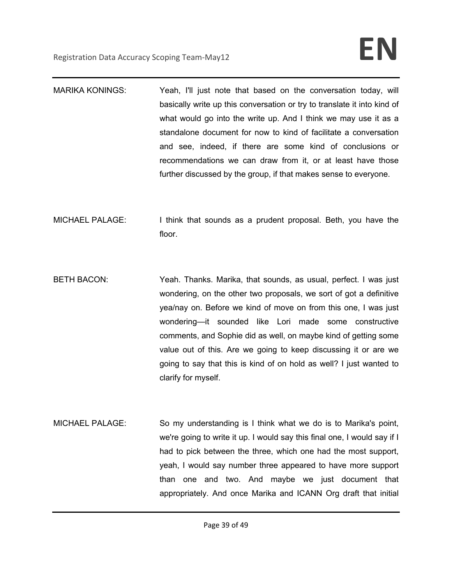- MARIKA KONINGS: Yeah, I'll just note that based on the conversation today, will basically write up this conversation or try to translate it into kind of what would go into the write up. And I think we may use it as a standalone document for now to kind of facilitate a conversation and see, indeed, if there are some kind of conclusions or recommendations we can draw from it, or at least have those further discussed by the group, if that makes sense to everyone.
- MICHAEL PALAGE: I think that sounds as a prudent proposal. Beth, you have the floor.
- BETH BACON: Yeah. Thanks. Marika, that sounds, as usual, perfect. I was just wondering, on the other two proposals, we sort of got a definitive yea/nay on. Before we kind of move on from this one, I was just wondering—it sounded like Lori made some constructive comments, and Sophie did as well, on maybe kind of getting some value out of this. Are we going to keep discussing it or are we going to say that this is kind of on hold as well? I just wanted to clarify for myself.
- MICHAEL PALAGE: So my understanding is I think what we do is to Marika's point, we're going to write it up. I would say this final one, I would say if I had to pick between the three, which one had the most support, yeah, I would say number three appeared to have more support than one and two. And maybe we just document that appropriately. And once Marika and ICANN Org draft that initial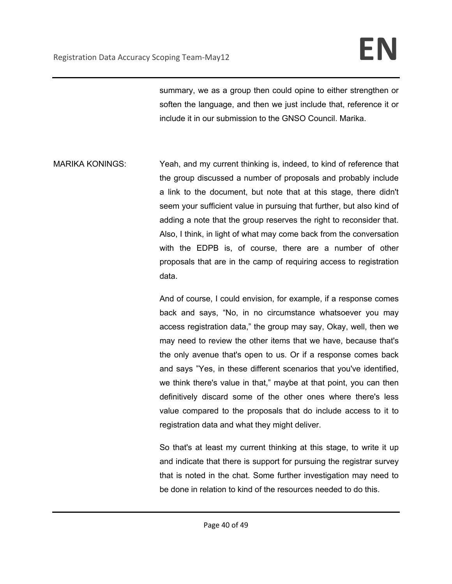summary, we as a group then could opine to either strengthen or soften the language, and then we just include that, reference it or include it in our submission to the GNSO Council. Marika.

MARIKA KONINGS: Yeah, and my current thinking is, indeed, to kind of reference that the group discussed a number of proposals and probably include a link to the document, but note that at this stage, there didn't seem your sufficient value in pursuing that further, but also kind of adding a note that the group reserves the right to reconsider that. Also, I think, in light of what may come back from the conversation with the EDPB is, of course, there are a number of other proposals that are in the camp of requiring access to registration data.

> And of course, I could envision, for example, if a response comes back and says, "No, in no circumstance whatsoever you may access registration data," the group may say, Okay, well, then we may need to review the other items that we have, because that's the only avenue that's open to us. Or if a response comes back and says "Yes, in these different scenarios that you've identified, we think there's value in that," maybe at that point, you can then definitively discard some of the other ones where there's less value compared to the proposals that do include access to it to registration data and what they might deliver.

> So that's at least my current thinking at this stage, to write it up and indicate that there is support for pursuing the registrar survey that is noted in the chat. Some further investigation may need to be done in relation to kind of the resources needed to do this.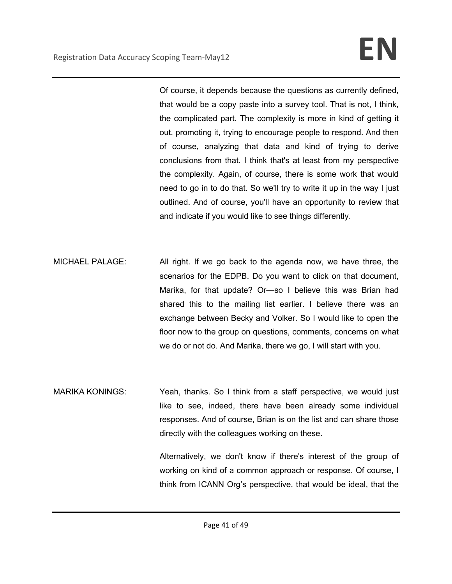Of course, it depends because the questions as currently defined, that would be a copy paste into a survey tool. That is not, I think, the complicated part. The complexity is more in kind of getting it out, promoting it, trying to encourage people to respond. And then of course, analyzing that data and kind of trying to derive conclusions from that. I think that's at least from my perspective the complexity. Again, of course, there is some work that would need to go in to do that. So we'll try to write it up in the way I just outlined. And of course, you'll have an opportunity to review that and indicate if you would like to see things differently.

MICHAEL PALAGE: All right. If we go back to the agenda now, we have three, the scenarios for the EDPB. Do you want to click on that document, Marika, for that update? Or—so I believe this was Brian had shared this to the mailing list earlier. I believe there was an exchange between Becky and Volker. So I would like to open the floor now to the group on questions, comments, concerns on what we do or not do. And Marika, there we go, I will start with you.

MARIKA KONINGS: Yeah, thanks. So I think from a staff perspective, we would just like to see, indeed, there have been already some individual responses. And of course, Brian is on the list and can share those directly with the colleagues working on these.

> Alternatively, we don't know if there's interest of the group of working on kind of a common approach or response. Of course, I think from ICANN Org's perspective, that would be ideal, that the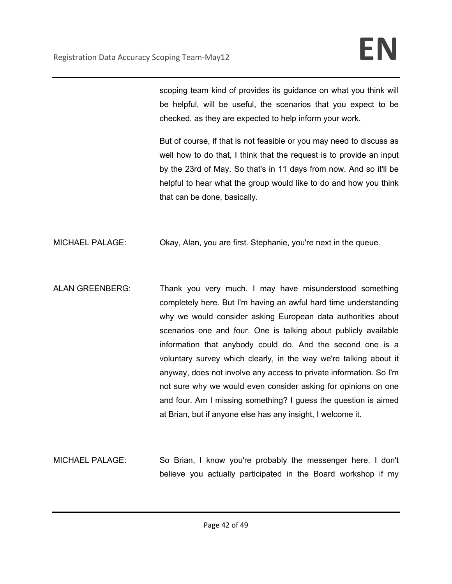scoping team kind of provides its guidance on what you think will be helpful, will be useful, the scenarios that you expect to be checked, as they are expected to help inform your work.

But of course, if that is not feasible or you may need to discuss as well how to do that, I think that the request is to provide an input by the 23rd of May. So that's in 11 days from now. And so it'll be helpful to hear what the group would like to do and how you think that can be done, basically.

MICHAEL PALAGE: Okay, Alan, you are first. Stephanie, you're next in the queue.

- ALAN GREENBERG: Thank you very much. I may have misunderstood something completely here. But I'm having an awful hard time understanding why we would consider asking European data authorities about scenarios one and four. One is talking about publicly available information that anybody could do. And the second one is a voluntary survey which clearly, in the way we're talking about it anyway, does not involve any access to private information. So I'm not sure why we would even consider asking for opinions on one and four. Am I missing something? I guess the question is aimed at Brian, but if anyone else has any insight, I welcome it.
- MICHAEL PALAGE: So Brian, I know you're probably the messenger here. I don't believe you actually participated in the Board workshop if my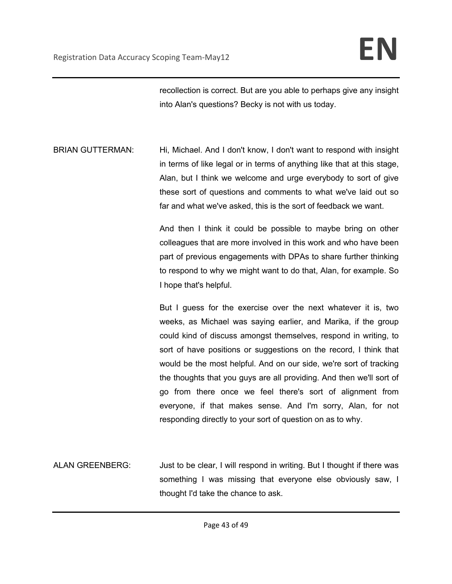recollection is correct. But are you able to perhaps give any insight into Alan's questions? Becky is not with us today.

BRIAN GUTTERMAN: Hi, Michael. And I don't know, I don't want to respond with insight in terms of like legal or in terms of anything like that at this stage, Alan, but I think we welcome and urge everybody to sort of give these sort of questions and comments to what we've laid out so far and what we've asked, this is the sort of feedback we want.

> And then I think it could be possible to maybe bring on other colleagues that are more involved in this work and who have been part of previous engagements with DPAs to share further thinking to respond to why we might want to do that, Alan, for example. So I hope that's helpful.

> But I guess for the exercise over the next whatever it is, two weeks, as Michael was saying earlier, and Marika, if the group could kind of discuss amongst themselves, respond in writing, to sort of have positions or suggestions on the record, I think that would be the most helpful. And on our side, we're sort of tracking the thoughts that you guys are all providing. And then we'll sort of go from there once we feel there's sort of alignment from everyone, if that makes sense. And I'm sorry, Alan, for not responding directly to your sort of question on as to why.

ALAN GREENBERG: Just to be clear, I will respond in writing. But I thought if there was something I was missing that everyone else obviously saw, I thought I'd take the chance to ask.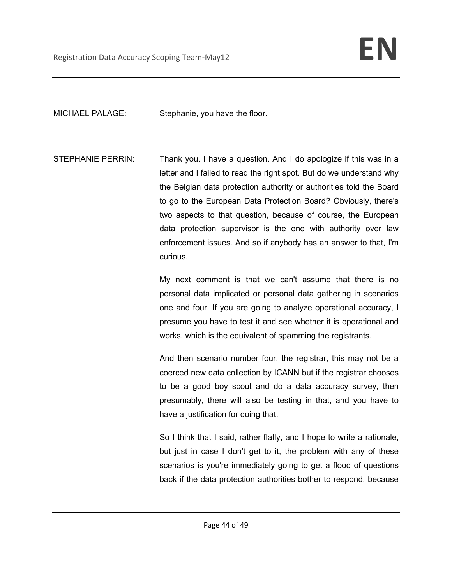MICHAEL PALAGE: Stephanie, you have the floor.

STEPHANIE PERRIN: Thank you. I have a question. And I do apologize if this was in a letter and I failed to read the right spot. But do we understand why the Belgian data protection authority or authorities told the Board to go to the European Data Protection Board? Obviously, there's two aspects to that question, because of course, the European data protection supervisor is the one with authority over law enforcement issues. And so if anybody has an answer to that, I'm curious.

> My next comment is that we can't assume that there is no personal data implicated or personal data gathering in scenarios one and four. If you are going to analyze operational accuracy, I presume you have to test it and see whether it is operational and works, which is the equivalent of spamming the registrants.

> And then scenario number four, the registrar, this may not be a coerced new data collection by ICANN but if the registrar chooses to be a good boy scout and do a data accuracy survey, then presumably, there will also be testing in that, and you have to have a justification for doing that.

> So I think that I said, rather flatly, and I hope to write a rationale, but just in case I don't get to it, the problem with any of these scenarios is you're immediately going to get a flood of questions back if the data protection authorities bother to respond, because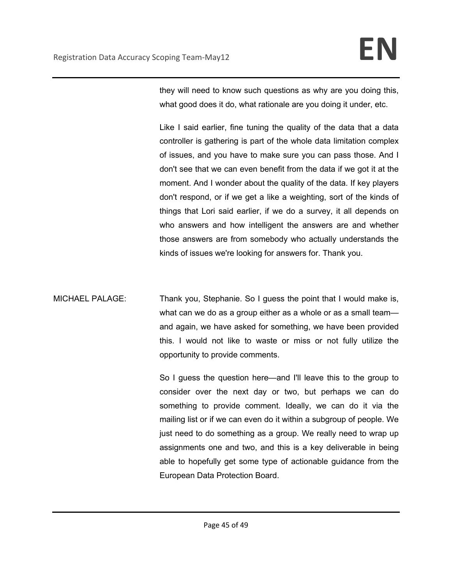they will need to know such questions as why are you doing this, what good does it do, what rationale are you doing it under, etc.

Like I said earlier, fine tuning the quality of the data that a data controller is gathering is part of the whole data limitation complex of issues, and you have to make sure you can pass those. And I don't see that we can even benefit from the data if we got it at the moment. And I wonder about the quality of the data. If key players don't respond, or if we get a like a weighting, sort of the kinds of things that Lori said earlier, if we do a survey, it all depends on who answers and how intelligent the answers are and whether those answers are from somebody who actually understands the kinds of issues we're looking for answers for. Thank you.

MICHAEL PALAGE: Thank you, Stephanie. So I guess the point that I would make is, what can we do as a group either as a whole or as a small teamand again, we have asked for something, we have been provided this. I would not like to waste or miss or not fully utilize the opportunity to provide comments.

> So I guess the question here—and I'll leave this to the group to consider over the next day or two, but perhaps we can do something to provide comment. Ideally, we can do it via the mailing list or if we can even do it within a subgroup of people. We just need to do something as a group. We really need to wrap up assignments one and two, and this is a key deliverable in being able to hopefully get some type of actionable guidance from the European Data Protection Board.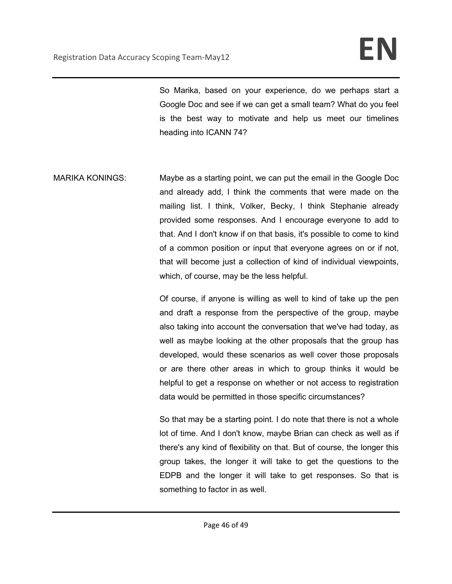So Marika, based on your experience, do we perhaps start a Google Doc and see if we can get a small team? What do you feel is the best way to motivate and help us meet our timelines heading into ICANN 74?

MARIKA KONINGS: Maybe as a starting point, we can put the email in the Google Doc and already add, I think the comments that were made on the mailing list. I think, Volker, Becky, I think Stephanie already provided some responses. And I encourage everyone to add to that. And I don't know if on that basis, it's possible to come to kind of a common position or input that everyone agrees on or if not, that will become just a collection of kind of individual viewpoints, which, of course, may be the less helpful.

> Of course, if anyone is willing as well to kind of take up the pen and draft a response from the perspective of the group, maybe also taking into account the conversation that we've had today, as well as maybe looking at the other proposals that the group has developed, would these scenarios as well cover those proposals or are there other areas in which to group thinks it would be helpful to get a response on whether or not access to registration data would be permitted in those specific circumstances?

> So that may be a starting point. I do note that there is not a whole lot of time. And I don't know, maybe Brian can check as well as if there's any kind of flexibility on that. But of course, the longer this group takes, the longer it will take to get the questions to the EDPB and the longer it will take to get responses. So that is something to factor in as well.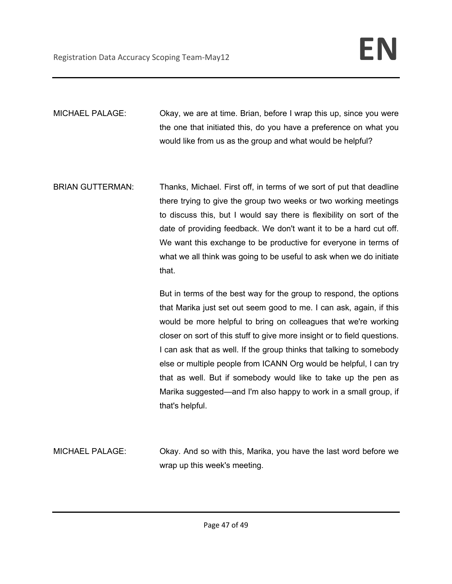MICHAEL PALAGE: Okay, we are at time. Brian, before I wrap this up, since you were the one that initiated this, do you have a preference on what you would like from us as the group and what would be helpful?

BRIAN GUTTERMAN: Thanks, Michael. First off, in terms of we sort of put that deadline there trying to give the group two weeks or two working meetings to discuss this, but I would say there is flexibility on sort of the date of providing feedback. We don't want it to be a hard cut off. We want this exchange to be productive for everyone in terms of what we all think was going to be useful to ask when we do initiate that.

> But in terms of the best way for the group to respond, the options that Marika just set out seem good to me. I can ask, again, if this would be more helpful to bring on colleagues that we're working closer on sort of this stuff to give more insight or to field questions. I can ask that as well. If the group thinks that talking to somebody else or multiple people from ICANN Org would be helpful, I can try that as well. But if somebody would like to take up the pen as Marika suggested—and I'm also happy to work in a small group, if that's helpful.

MICHAEL PALAGE: Okay. And so with this, Marika, you have the last word before we wrap up this week's meeting.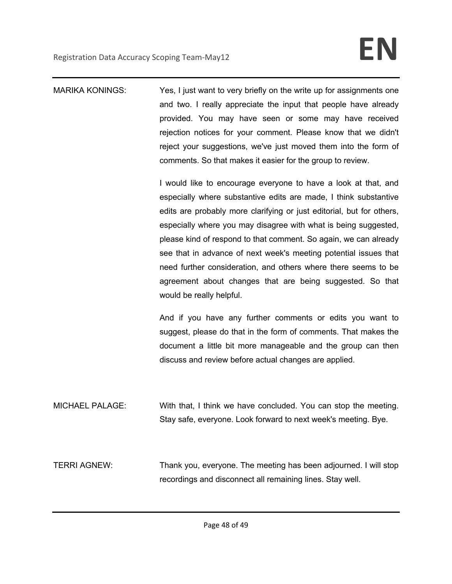MARIKA KONINGS: Yes, I just want to very briefly on the write up for assignments one and two. I really appreciate the input that people have already provided. You may have seen or some may have received rejection notices for your comment. Please know that we didn't reject your suggestions, we've just moved them into the form of comments. So that makes it easier for the group to review.

> I would like to encourage everyone to have a look at that, and especially where substantive edits are made, I think substantive edits are probably more clarifying or just editorial, but for others, especially where you may disagree with what is being suggested, please kind of respond to that comment. So again, we can already see that in advance of next week's meeting potential issues that need further consideration, and others where there seems to be agreement about changes that are being suggested. So that would be really helpful.

> And if you have any further comments or edits you want to suggest, please do that in the form of comments. That makes the document a little bit more manageable and the group can then discuss and review before actual changes are applied.

MICHAEL PALAGE: With that, I think we have concluded. You can stop the meeting. Stay safe, everyone. Look forward to next week's meeting. Bye.

TERRI AGNEW: Thank you, everyone. The meeting has been adjourned. I will stop recordings and disconnect all remaining lines. Stay well.